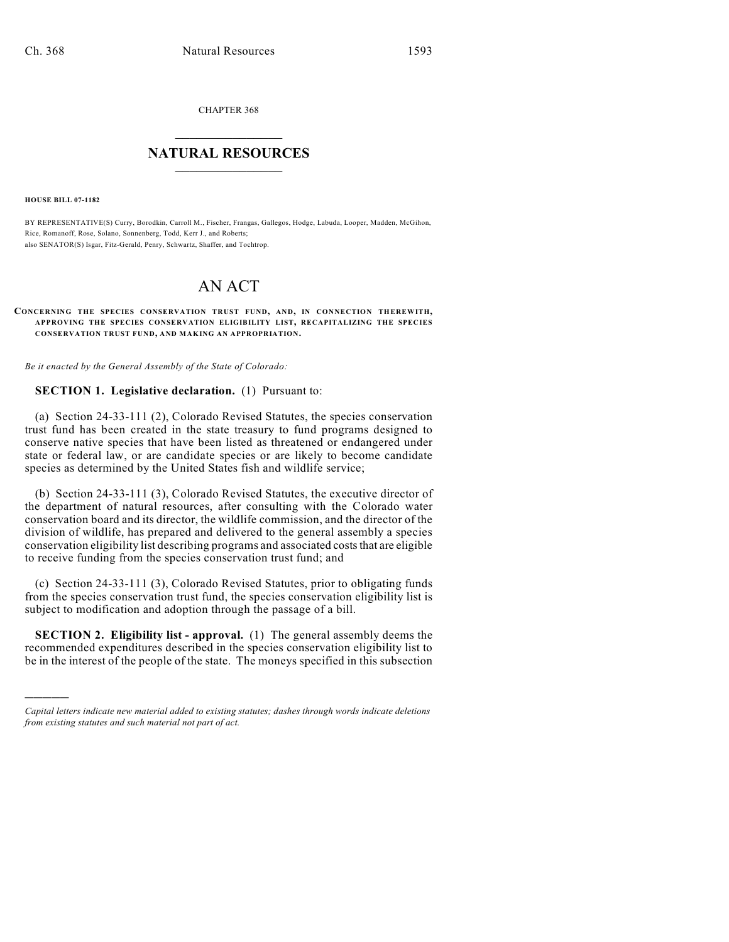CHAPTER 368

## $\mathcal{L}_\text{max}$  . The set of the set of the set of the set of the set of the set of the set of the set of the set of the set of the set of the set of the set of the set of the set of the set of the set of the set of the set **NATURAL RESOURCES**  $\frac{1}{\sqrt{2}}$  , where  $\frac{1}{\sqrt{2}}$  ,  $\frac{1}{\sqrt{2}}$  ,  $\frac{1}{\sqrt{2}}$

**HOUSE BILL 07-1182**

)))))

BY REPRESENTATIVE(S) Curry, Borodkin, Carroll M., Fischer, Frangas, Gallegos, Hodge, Labuda, Looper, Madden, McGihon, Rice, Romanoff, Rose, Solano, Sonnenberg, Todd, Kerr J., and Roberts; also SENATOR(S) Isgar, Fitz-Gerald, Penry, Schwartz, Shaffer, and Tochtrop.

## AN ACT

## **CONCERNING THE SPECIES CONSERVATION TRUST FUND, AND, IN CONNECTION THEREWITH, APPROVING THE SPECIES CONSERVATION ELIGIBILITY LIST, RECAPITALIZING THE SPECIES CONSERVATION TRUST FUND, AND MAKING AN APPROPRIATION.**

*Be it enacted by the General Assembly of the State of Colorado:*

## **SECTION 1. Legislative declaration.** (1) Pursuant to:

(a) Section 24-33-111 (2), Colorado Revised Statutes, the species conservation trust fund has been created in the state treasury to fund programs designed to conserve native species that have been listed as threatened or endangered under state or federal law, or are candidate species or are likely to become candidate species as determined by the United States fish and wildlife service;

(b) Section 24-33-111 (3), Colorado Revised Statutes, the executive director of the department of natural resources, after consulting with the Colorado water conservation board and its director, the wildlife commission, and the director of the division of wildlife, has prepared and delivered to the general assembly a species conservation eligibility list describing programs and associated costs that are eligible to receive funding from the species conservation trust fund; and

(c) Section 24-33-111 (3), Colorado Revised Statutes, prior to obligating funds from the species conservation trust fund, the species conservation eligibility list is subject to modification and adoption through the passage of a bill.

**SECTION 2. Eligibility list - approval.** (1) The general assembly deems the recommended expenditures described in the species conservation eligibility list to be in the interest of the people of the state. The moneys specified in this subsection

*Capital letters indicate new material added to existing statutes; dashes through words indicate deletions from existing statutes and such material not part of act.*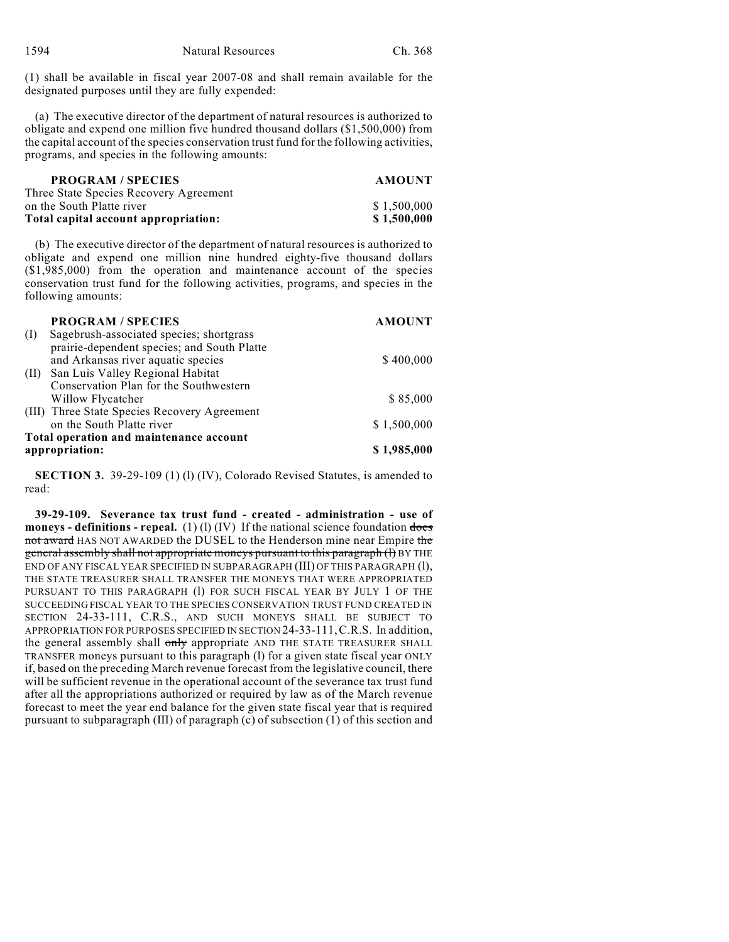(1) shall be available in fiscal year 2007-08 and shall remain available for the designated purposes until they are fully expended:

(a) The executive director of the department of natural resources is authorized to obligate and expend one million five hundred thousand dollars (\$1,500,000) from the capital account of the species conservation trust fund for the following activities, programs, and species in the following amounts:

| <b>PROGRAM/SPECIES</b>                 | <b>AMOUNT</b> |
|----------------------------------------|---------------|
| Three State Species Recovery Agreement |               |
| on the South Platte river              | \$1.500.000   |
| Total capital account appropriation:   | \$1.500.000   |

(b) The executive director of the department of natural resources is authorized to obligate and expend one million nine hundred eighty-five thousand dollars (\$1,985,000) from the operation and maintenance account of the species conservation trust fund for the following activities, programs, and species in the following amounts:

|           | <b>PROGRAM / SPECIES</b>                     | <b>AMOUNT</b> |
|-----------|----------------------------------------------|---------------|
| $\rm (I)$ | Sagebrush-associated species; shortgrass     |               |
|           | prairie-dependent species; and South Platte  |               |
|           | and Arkansas river aquatic species           | \$400,000     |
| (II)      | San Luis Valley Regional Habitat             |               |
|           | Conservation Plan for the Southwestern       |               |
|           | Willow Flycatcher                            | \$85,000      |
|           | (III) Three State Species Recovery Agreement |               |
|           | on the South Platte river                    | \$1,500,000   |
|           | Total operation and maintenance account      |               |
|           | appropriation:                               | \$1,985,000   |

**SECTION 3.** 39-29-109 (1) (1) (IV), Colorado Revised Statutes, is amended to read:

**39-29-109. Severance tax trust fund - created - administration - use of moneys - definitions - repeal.** (1) (1) (IV) If the national science foundation  $\frac{1}{1000}$ not award HAS NOT AWARDED the DUSEL to the Henderson mine near Empire the general assembly shall not appropriate moneys pursuant to this paragraph (l) BY THE END OF ANY FISCAL YEAR SPECIFIED IN SUBPARAGRAPH (III) OF THIS PARAGRAPH (l), THE STATE TREASURER SHALL TRANSFER THE MONEYS THAT WERE APPROPRIATED PURSUANT TO THIS PARAGRAPH (1) FOR SUCH FISCAL YEAR BY JULY 1 OF THE SUCCEEDING FISCAL YEAR TO THE SPECIES CONSERVATION TRUST FUND CREATED IN SECTION 24-33-111, C.R.S., AND SUCH MONEYS SHALL BE SUBJECT TO APPROPRIATION FOR PURPOSES SPECIFIED IN SECTION 24-33-111,C.R.S. In addition, the general assembly shall only appropriate AND THE STATE TREASURER SHALL TRANSFER moneys pursuant to this paragraph (l) for a given state fiscal year ONLY if, based on the preceding March revenue forecast from the legislative council, there will be sufficient revenue in the operational account of the severance tax trust fund after all the appropriations authorized or required by law as of the March revenue forecast to meet the year end balance for the given state fiscal year that is required pursuant to subparagraph (III) of paragraph (c) of subsection (1) of this section and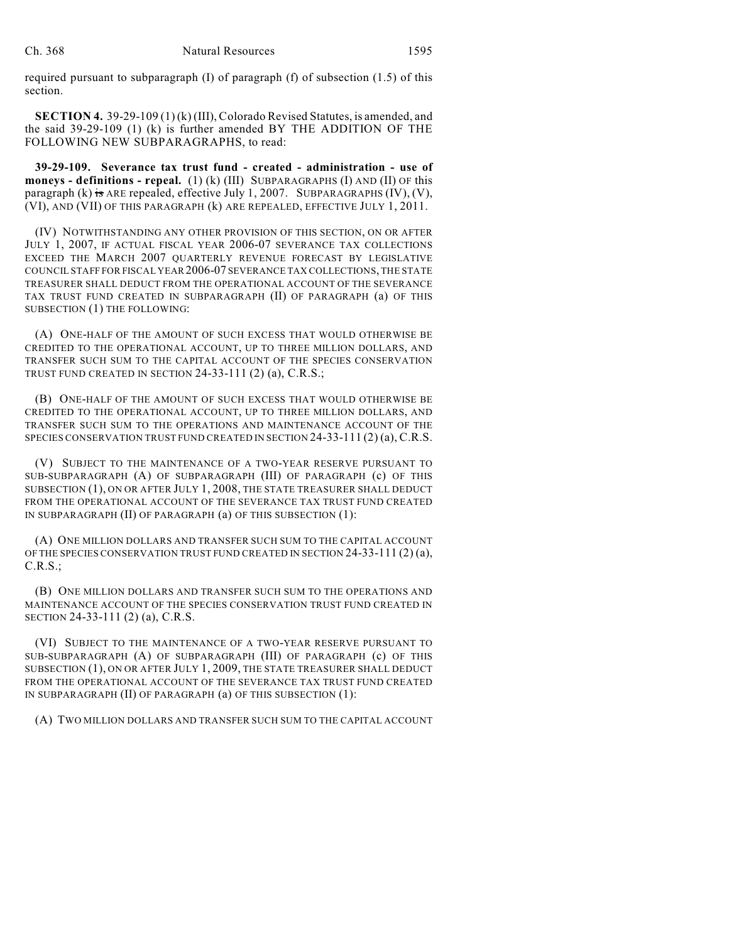required pursuant to subparagraph (I) of paragraph (f) of subsection (1.5) of this section.

**SECTION 4.** 39-29-109 (1) (k) (III), Colorado Revised Statutes, is amended, and the said 39-29-109 (1) (k) is further amended BY THE ADDITION OF THE FOLLOWING NEW SUBPARAGRAPHS, to read:

**39-29-109. Severance tax trust fund - created - administration - use of moneys - definitions - repeal.** (1) (k) (III) SUBPARAGRAPHS (I) AND (II) OF this paragraph (k) is ARE repealed, effective July 1, 2007. SUBPARAGRAPHS  $(IV)$ ,  $(V)$ , (VI), AND (VII) OF THIS PARAGRAPH (k) ARE REPEALED, EFFECTIVE JULY 1, 2011.

(IV) NOTWITHSTANDING ANY OTHER PROVISION OF THIS SECTION, ON OR AFTER JULY 1, 2007, IF ACTUAL FISCAL YEAR 2006-07 SEVERANCE TAX COLLECTIONS EXCEED THE MARCH 2007 QUARTERLY REVENUE FORECAST BY LEGISLATIVE COUNCIL STAFF FOR FISCAL YEAR2006-07 SEVERANCE TAX COLLECTIONS, THE STATE TREASURER SHALL DEDUCT FROM THE OPERATIONAL ACCOUNT OF THE SEVERANCE TAX TRUST FUND CREATED IN SUBPARAGRAPH (II) OF PARAGRAPH (a) OF THIS SUBSECTION (1) THE FOLLOWING:

(A) ONE-HALF OF THE AMOUNT OF SUCH EXCESS THAT WOULD OTHERWISE BE CREDITED TO THE OPERATIONAL ACCOUNT, UP TO THREE MILLION DOLLARS, AND TRANSFER SUCH SUM TO THE CAPITAL ACCOUNT OF THE SPECIES CONSERVATION TRUST FUND CREATED IN SECTION 24-33-111 (2) (a), C.R.S.;

(B) ONE-HALF OF THE AMOUNT OF SUCH EXCESS THAT WOULD OTHERWISE BE CREDITED TO THE OPERATIONAL ACCOUNT, UP TO THREE MILLION DOLLARS, AND TRANSFER SUCH SUM TO THE OPERATIONS AND MAINTENANCE ACCOUNT OF THE SPECIES CONSERVATION TRUST FUND CREATED IN SECTION 24-33-111 (2) (a), C.R.S.

(V) SUBJECT TO THE MAINTENANCE OF A TWO-YEAR RESERVE PURSUANT TO SUB-SUBPARAGRAPH (A) OF SUBPARAGRAPH (III) OF PARAGRAPH (c) OF THIS SUBSECTION (1), ON OR AFTER JULY 1, 2008, THE STATE TREASURER SHALL DEDUCT FROM THE OPERATIONAL ACCOUNT OF THE SEVERANCE TAX TRUST FUND CREATED IN SUBPARAGRAPH (II) OF PARAGRAPH (a) OF THIS SUBSECTION (1):

(A) ONE MILLION DOLLARS AND TRANSFER SUCH SUM TO THE CAPITAL ACCOUNT OF THE SPECIES CONSERVATION TRUST FUND CREATED IN SECTION 24-33-111 (2) (a), C.R.S.;

(B) ONE MILLION DOLLARS AND TRANSFER SUCH SUM TO THE OPERATIONS AND MAINTENANCE ACCOUNT OF THE SPECIES CONSERVATION TRUST FUND CREATED IN SECTION 24-33-111 (2) (a), C.R.S.

(VI) SUBJECT TO THE MAINTENANCE OF A TWO-YEAR RESERVE PURSUANT TO SUB-SUBPARAGRAPH (A) OF SUBPARAGRAPH (III) OF PARAGRAPH (c) OF THIS SUBSECTION (1), ON OR AFTER JULY 1, 2009, THE STATE TREASURER SHALL DEDUCT FROM THE OPERATIONAL ACCOUNT OF THE SEVERANCE TAX TRUST FUND CREATED IN SUBPARAGRAPH (II) OF PARAGRAPH (a) OF THIS SUBSECTION (1):

(A) TWO MILLION DOLLARS AND TRANSFER SUCH SUM TO THE CAPITAL ACCOUNT